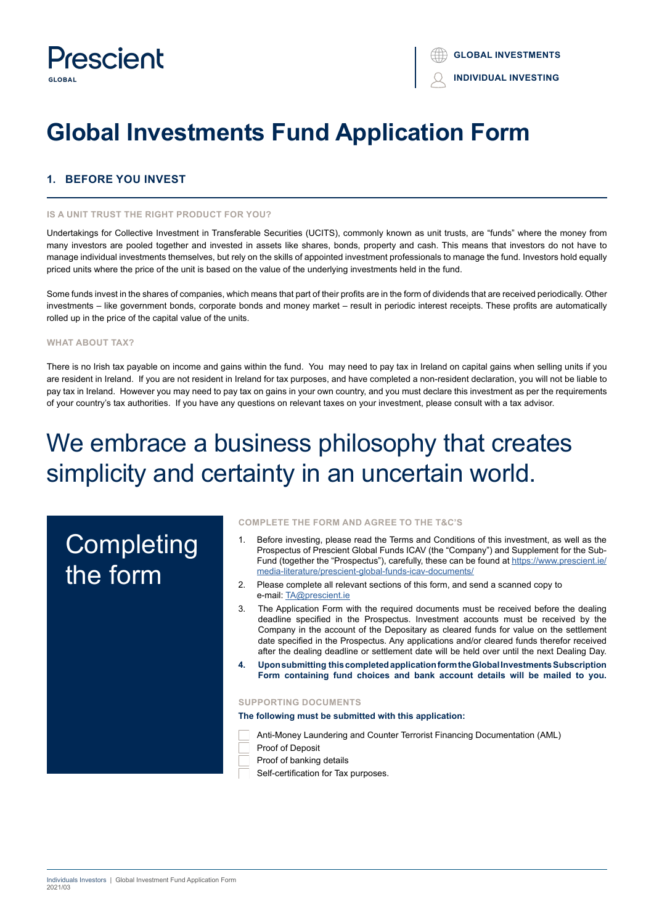

# **Global Investments Fund Application Form**

# **1. BEFORE YOU INVEST**

# **IS A UNIT TRUST THE RIGHT PRODUCT FOR YOU?**

Undertakings for Collective Investment in Transferable Securities (UCITS), commonly known as unit trusts, are "funds" where the money from many investors are pooled together and invested in assets like shares, bonds, property and cash. This means that investors do not have to manage individual investments themselves, but rely on the skills of appointed investment professionals to manage the fund. Investors hold equally priced units where the price of the unit is based on the value of the underlying investments held in the fund.

Some funds invest in the shares of companies, which means that part of their profits are in the form of dividends that are received periodically. Other investments – like government bonds, corporate bonds and money market – result in periodic interest receipts. These profits are automatically rolled up in the price of the capital value of the units.

# **WHAT ABOUT TAX?**

There is no Irish tax payable on income and gains within the fund. You may need to pay tax in Ireland on capital gains when selling units if you are resident in Ireland. If you are not resident in Ireland for tax purposes, and have completed a non-resident declaration, you will not be liable to pay tax in Ireland. However you may need to pay tax on gains in your own country, and you must declare this investment as per the requirements of your country's tax authorities. If you have any questions on relevant taxes on your investment, please consult with a tax advisor.

# We embrace a business philosophy that creates simplicity and certainty in an uncertain world.

# **Completing** the form

#### **COMPLETE THE FORM AND AGREE TO THE T&C'S**

- 1. Before investing, please read the Terms and Conditions of this investment, as well as the Prospectus of Prescient Global Funds ICAV (the "Company") and Supplement for the Sub-Fund (together the "Prospectus"), carefully, these can be found at https://www.prescient.ie/ media-literature/prescient-global-funds-icav-documents/
- 2. Please complete all relevant sections of this form, and send a scanned copy to e-mail: TA@prescient.ie
- 3. The Application Form with the required documents must be received before the dealing deadline specified in the Prospectus. Investment accounts must be received by the Company in the account of the Depositary as cleared funds for value on the settlement date specified in the Prospectus. Any applications and/or cleared funds therefor received after the dealing deadline or settlement date will be held over until the next Dealing Day.
- **4. Upon submitting this completed application form the Global Investments Subscription Form containing fund choices and bank account details will be mailed to you.**

# **SUPPORTING DOCUMENTS**

**The following must be submitted with this application:**

Anti-Money Laundering and Counter Terrorist Financing Documentation (AML)

- Proof of Deposit
- Proof of banking details
- Self-certification for Tax purposes.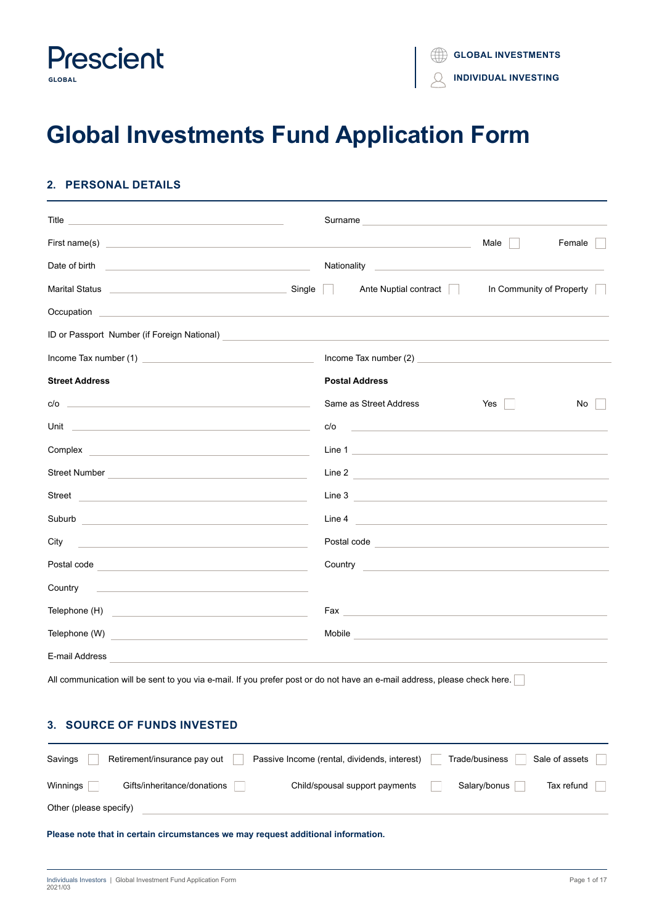

# **Global Investments Fund Application Form**

# **2. PERSONAL DETAILS**

| Title<br><u> 1980 - Johann Barn, amerikansk politiker (d. 1980)</u>                                                                                                                                                                                   | Surname               | <u> 1980 - Johann Barn, amerikan besteman besteman besteman besteman besteman besteman besteman besteman bestema</u>                                                                                                                 |                          |        |
|-------------------------------------------------------------------------------------------------------------------------------------------------------------------------------------------------------------------------------------------------------|-----------------------|--------------------------------------------------------------------------------------------------------------------------------------------------------------------------------------------------------------------------------------|--------------------------|--------|
| First name(s) <u>example and the contract of the contract of the contract of the contract of the contract of the contract of the contract of the contract of the contract of the contract of the contract of the contract of the</u>                  |                       |                                                                                                                                                                                                                                      | Male                     | Female |
| Date of birth<br><u> 1989 - Andrea State Barbara, amerikan personal dan personal dan personal dan personal dan personal dan personal dan personal dan personal dan personal dan personal dan personal dan personal dan personal dan personal dan </u> |                       | Nationality Nationality National Reserves and American Community of the American Community of the American Comm                                                                                                                      |                          |        |
|                                                                                                                                                                                                                                                       | $\mathbb{R}^n$        | Ante Nuptial contract                                                                                                                                                                                                                | In Community of Property |        |
| Occupation experience and the contract of the contract of the contract of the contract of the contract of the                                                                                                                                         |                       |                                                                                                                                                                                                                                      |                          |        |
| ID or Passport Number (if Foreign National)                                                                                                                                                                                                           |                       |                                                                                                                                                                                                                                      |                          |        |
|                                                                                                                                                                                                                                                       |                       |                                                                                                                                                                                                                                      |                          |        |
| <b>Street Address</b>                                                                                                                                                                                                                                 | <b>Postal Address</b> |                                                                                                                                                                                                                                      |                          |        |
| $c/o$ $\qquad \qquad$                                                                                                                                                                                                                                 |                       | Same as Street Address                                                                                                                                                                                                               | $Yes \mid \cdot$         | No     |
|                                                                                                                                                                                                                                                       | c/o                   |                                                                                                                                                                                                                                      |                          |        |
| Complex<br><u> 1989 - Johann Barbara, martin amerikan basal dan berasal dan berasal dalam basal dan berasal dan berasal dan</u>                                                                                                                       |                       | Line 1 <b>Example 2 Contract 2 Contract 2 Contract 2 Contract 2 Contract 2 Contract 2 Contract 2</b>                                                                                                                                 |                          |        |
| <b>Street Number</b><br><u> 1980 - Johann Barbara, martxa alemaniar a</u>                                                                                                                                                                             |                       | Line 2                                                                                                                                                                                                                               |                          |        |
| Street <u>and the community of the community of the community of the community of the community of the community of the community of the community of the community of the community of the community of the community of the co</u>                  |                       | Line 3 Production of the Contract of the Contract of the Contract of the Contract of the Contract of the Contract of the Contract of the Contract of the Contract of the Contract of the Contract of the Contract of the Contr       |                          |        |
| Suburb                                                                                                                                                                                                                                                |                       | Line 4                                                                                                                                                                                                                               |                          |        |
| City<br><u> 1980 - Andrea Station Barbara, actor a component de la componentación de la componentación de la componentaci</u>                                                                                                                         |                       | Postal code <b>contract and contract of the contract of the contract of the contract of the contract of the contract of the contract of the contract of the contract of the contract of the contract of the contract of the cont</b> |                          |        |
|                                                                                                                                                                                                                                                       |                       | Country <u>Country Countries</u>                                                                                                                                                                                                     |                          |        |
| Country<br><u> Alexandria de la contrada de la contrada de la contrada de la contrada de la contrada de la contrada de la c</u>                                                                                                                       |                       |                                                                                                                                                                                                                                      |                          |        |
| Telephone (H)<br><u> 1989 - Johann Harry Harry Harry Harry Harry Harry Harry Harry Harry Harry Harry Harry Harry Harry Harry Harry</u>                                                                                                                |                       |                                                                                                                                                                                                                                      |                          |        |
|                                                                                                                                                                                                                                                       |                       | Mobile <b>Mobile Mobile Mobile Mobile Mobile Mobile Mobile Mobile</b>                                                                                                                                                                |                          |        |
| E-mail Address                                                                                                                                                                                                                                        |                       |                                                                                                                                                                                                                                      |                          |        |
| All communication will be sent to you via e-mail. If you prefer post or do not have an e-mail address, please check here.                                                                                                                             |                       |                                                                                                                                                                                                                                      |                          |        |

| Savings                | Retirement/insurance pay out | Passive Income (rental, dividends, interest) | Trade/business | Sale of assets |
|------------------------|------------------------------|----------------------------------------------|----------------|----------------|
| Winnings               | Gifts/inheritance/donations  | Child/spousal support payments               | Salary/bonus   | Tax refund     |
| Other (please specify) |                              |                                              |                |                |

**Please note that in certain circumstances we may request additional information.**

**3. SOURCE OF FUNDS INVESTED**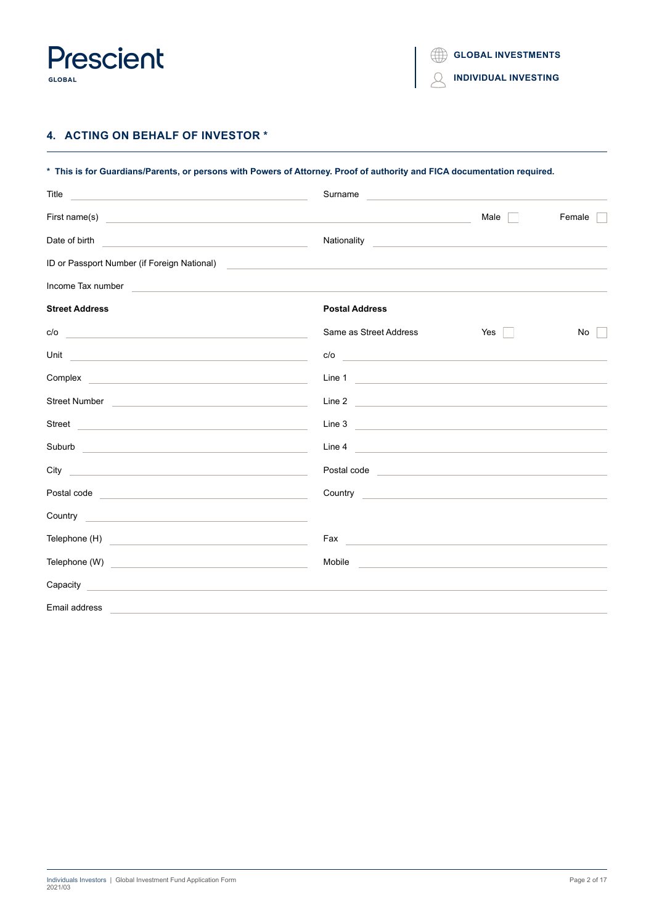

 $\mathcal{Q}$ **INDIVIDUAL INVESTING**

# **4. ACTING ON BEHALF OF INVESTOR \***

| * This is for Guardians/Parents, or persons with Powers of Attorney. Proof of authority and FICA documentation required.                                                                                                             |                                                                                                                                                                                                                                      |                                                                                                                       |           |  |
|--------------------------------------------------------------------------------------------------------------------------------------------------------------------------------------------------------------------------------------|--------------------------------------------------------------------------------------------------------------------------------------------------------------------------------------------------------------------------------------|-----------------------------------------------------------------------------------------------------------------------|-----------|--|
| Title<br><u> 1989 - Johann Barbara, martin amerikan basal dan berasal dan berasal dalam basal dan berasal dalam berasal da</u>                                                                                                       | Surname                                                                                                                                                                                                                              |                                                                                                                       |           |  |
| First name(s) <u>example and the set of the set of the set of the set of the set of the set of the set of the set of the set of the set of the set of the set of the set of the set of the set of the set of the set of the set </u> |                                                                                                                                                                                                                                      | Male II                                                                                                               | Female    |  |
| Date of birth<br><u> 1989 - Johann Barn, mars and de Branch Barn, mars and de Branch Barn, mars and de Branch Barn, mars and de Br</u>                                                                                               | Nationality                                                                                                                                                                                                                          | <u> 1989 - Andrea State Barbara, amerikan personal di sebagai personal di sebagai personal di sebagai personal di</u> |           |  |
| ID or Passport Number (if Foreign National)                                                                                                                                                                                          | <u> Alexandria de la contrada de la contrada de la contrada de la contrada de la contrada de la contrada de la c</u>                                                                                                                 |                                                                                                                       |           |  |
| Income Tax number<br><u> 1989 - Johann Harry Harry Harry Harry Harry Harry Harry Harry Harry Harry Harry Harry Harry Harry Harry Harry</u>                                                                                           |                                                                                                                                                                                                                                      |                                                                                                                       |           |  |
| <b>Street Address</b>                                                                                                                                                                                                                | <b>Postal Address</b>                                                                                                                                                                                                                |                                                                                                                       |           |  |
| c/o<br>the control of the control of the control of the control of the control of the control of                                                                                                                                     | Same as Street Address                                                                                                                                                                                                               | Yes $\vert$ $\vert$                                                                                                   | No<br>n l |  |
| Unit <u>and the contract of the contract of the contract of the contract of the contract of the contract of the contract of the contract of the contract of the contract of the contract of the contract of the contract of the </u> | c/o                                                                                                                                                                                                                                  |                                                                                                                       |           |  |
| Complex experience and the complex of the complex of the complex of the complex of the complex of the complex of the complex of the complex of the complex of the complex of the complex of the complex of the complex of the        | Line 1 2008 - 2008 - 2008 - 2008 - 2009 - 2010 - 2010 - 2010 - 2010 - 2010 - 2010 - 2010 - 2010 - 2010 - 2010                                                                                                                        |                                                                                                                       |           |  |
| Street Number <b>Community Community Community Community Community Community</b>                                                                                                                                                     | Line 2 $\qquad \qquad$                                                                                                                                                                                                               |                                                                                                                       |           |  |
| Street <b>Example 2018</b> Street <b>Example 2018</b> Street <b>Example 2018</b>                                                                                                                                                     | Line 3                                                                                                                                                                                                                               |                                                                                                                       |           |  |
|                                                                                                                                                                                                                                      | Line 4                                                                                                                                                                                                                               |                                                                                                                       |           |  |
| City<br><u> 1989 - Johann Barbara, martin amerikan basal dan berasal dan berasal dan berasal dan berasal dan berasal dan</u>                                                                                                         | Postal code <b>contract and contract of the contract of the contract of the contract of the contract of the contract of the contract of the contract of the contract of the contract of the contract of the contract of the cont</b> |                                                                                                                       |           |  |
| Postal code <b>contract and contract of the contract of the contract of the contract of the contract of the contract of the contract of the contract of the contract of the contract of the contract of the contract of the cont</b> | Country <b>Country Country Country Country Country Country Country Country Country Country Country Country Country Country Country Country Country Country Country Country Country Cou</b>                                           |                                                                                                                       |           |  |
| Country <b>Countries and Countries and Countries and Countries and Countries and Countries and Countries and Countries and Countries and Countries and Countries and Countries and Countries and Countries and Countries and Cou</b> |                                                                                                                                                                                                                                      |                                                                                                                       |           |  |
|                                                                                                                                                                                                                                      |                                                                                                                                                                                                                                      |                                                                                                                       |           |  |
|                                                                                                                                                                                                                                      | Mobile and the contract of the contract of the contract of the contract of the contract of the contract of the                                                                                                                       |                                                                                                                       |           |  |
| Capacity<br>and the control of the control of the control of the control of the control of the control of the control of the                                                                                                         |                                                                                                                                                                                                                                      |                                                                                                                       |           |  |
| Email address<br><u> 1989 - John Stone, amerikansk politiker (d. 1989)</u>                                                                                                                                                           |                                                                                                                                                                                                                                      |                                                                                                                       |           |  |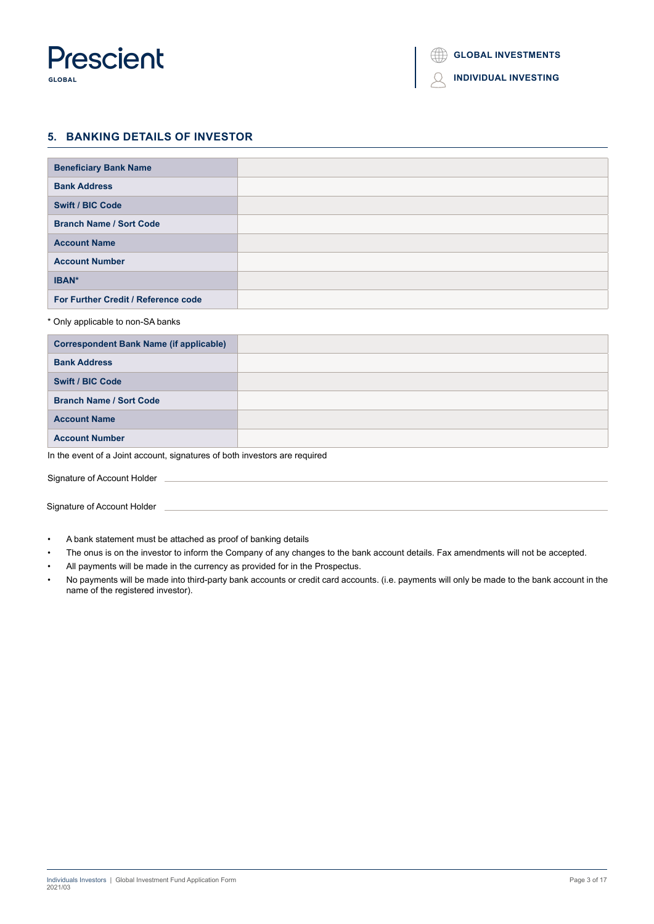

#### $\bigcirc$ **INDIVIDUAL INVESTING**

# **5. BANKING DETAILS OF INVESTOR**

| <b>Beneficiary Bank Name</b>        |  |
|-------------------------------------|--|
| <b>Bank Address</b>                 |  |
| <b>Swift / BIC Code</b>             |  |
| <b>Branch Name / Sort Code</b>      |  |
| <b>Account Name</b>                 |  |
| <b>Account Number</b>               |  |
| IBAN*                               |  |
| For Further Credit / Reference code |  |

# \* Only applicable to non-SA banks

| <b>Correspondent Bank Name (if applicable)</b> |  |
|------------------------------------------------|--|
| <b>Bank Address</b>                            |  |
| <b>Swift / BIC Code</b>                        |  |
| <b>Branch Name / Sort Code</b>                 |  |
| <b>Account Name</b>                            |  |
| <b>Account Number</b>                          |  |

In the event of a Joint account, signatures of both investors are required

Signature of Account Holder

Signature of Account Holder

- A bank statement must be attached as proof of banking details
- The onus is on the investor to inform the Company of any changes to the bank account details. Fax amendments will not be accepted.
- All payments will be made in the currency as provided for in the Prospectus.
- No payments will be made into third-party bank accounts or credit card accounts. (i.e. payments will only be made to the bank account in the name of the registered investor).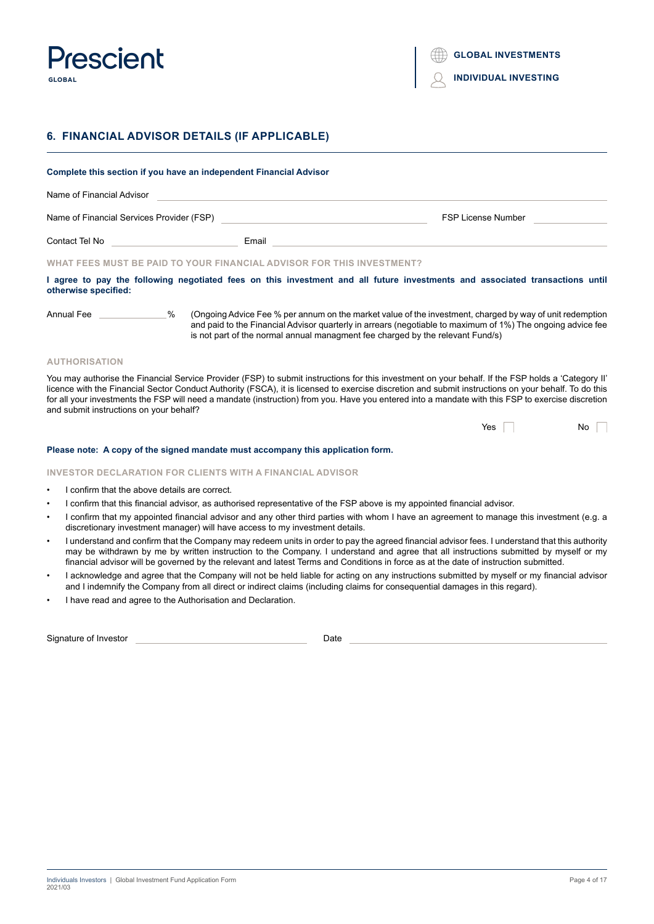

# **6. FINANCIAL ADVISOR DETAILS (IF APPLICABLE)**

| Complete this section if you have an independent Financial Advisor |                                                                       |                                                                                                                                                                                                                                                                                                          |  |  |
|--------------------------------------------------------------------|-----------------------------------------------------------------------|----------------------------------------------------------------------------------------------------------------------------------------------------------------------------------------------------------------------------------------------------------------------------------------------------------|--|--|
| Name of Financial Advisor                                          |                                                                       |                                                                                                                                                                                                                                                                                                          |  |  |
|                                                                    | Name of Financial Services Provider (FSP)                             | <b>FSP License Number</b>                                                                                                                                                                                                                                                                                |  |  |
| Contact Tel No                                                     | Email                                                                 |                                                                                                                                                                                                                                                                                                          |  |  |
|                                                                    | WHAT FEES MUST BE PAID TO YOUR FINANCIAL ADVISOR FOR THIS INVESTMENT? |                                                                                                                                                                                                                                                                                                          |  |  |
| otherwise specified:                                               |                                                                       | I agree to pay the following negotiated fees on this investment and all future investments and associated transactions until                                                                                                                                                                             |  |  |
| Annual Fee                                                         | %                                                                     | Ongoing Advice Fee % per annum on the market value of the investment, charged by way of unit redemption<br>and paid to the Financial Advisor quarterly in arrears (negotiable to maximum of 1%) The ongoing advice fee<br>is not part of the normal annual managment fee charged by the relevant Fund/s) |  |  |

# **AUTHORISATION**

You may authorise the Financial Service Provider (FSP) to submit instructions for this investment on your behalf. If the FSP holds a 'Category II' licence with the Financial Sector Conduct Authority (FSCA), it is licensed to exercise discretion and submit instructions on your behalf. To do this for all your investments the FSP will need a mandate (instruction) from you. Have you entered into a mandate with this FSP to exercise discretion and submit instructions on your behalf?

| Yes | No |
|-----|----|
|-----|----|

# **Please note: A copy of the signed mandate must accompany this application form.**

# **INVESTOR DECLARATION FOR CLIENTS WITH A FINANCIAL ADVISOR**

- I confirm that the above details are correct.
- I confirm that this financial advisor, as authorised representative of the FSP above is my appointed financial advisor.
- I confirm that my appointed financial advisor and any other third parties with whom I have an agreement to manage this investment (e.g. a discretionary investment manager) will have access to my investment details.
- I understand and confirm that the Company may redeem units in order to pay the agreed financial advisor fees. I understand that this authority may be withdrawn by me by written instruction to the Company. I understand and agree that all instructions submitted by myself or my financial advisor will be governed by the relevant and latest Terms and Conditions in force as at the date of instruction submitted.
- I acknowledge and agree that the Company will not be held liable for acting on any instructions submitted by myself or my financial advisor and I indemnify the Company from all direct or indirect claims (including claims for consequential damages in this regard).
- I have read and agree to the Authorisation and Declaration.

| Signature of Investor |  |  |
|-----------------------|--|--|
|-----------------------|--|--|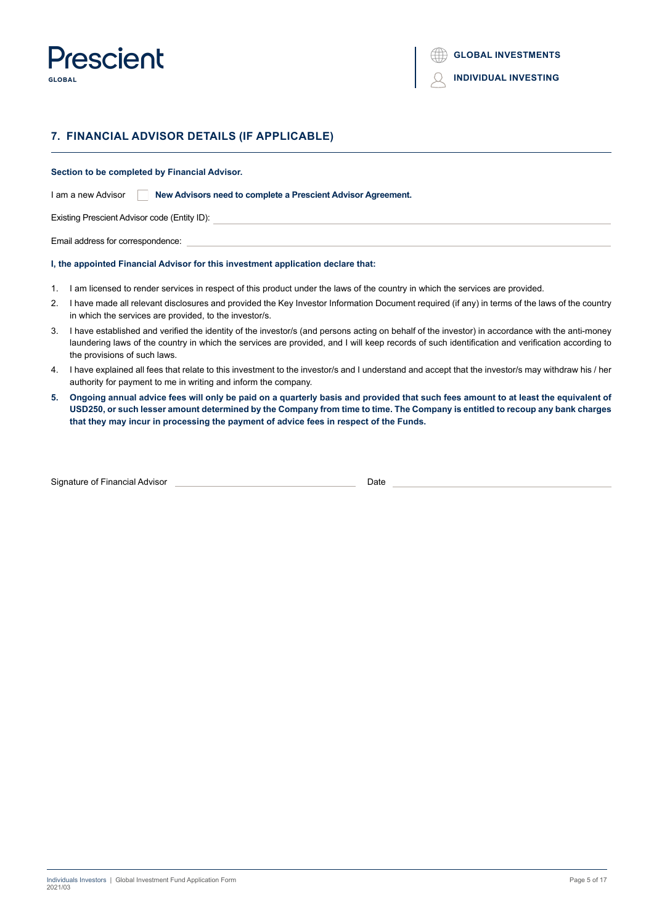

# **7. FINANCIAL ADVISOR DETAILS (IF APPLICABLE)**

**Section to be completed by Financial Advisor.**

I am a new Advisor **New Advisors need to complete a Prescient Advisor Agreement.** 

Existing Prescient Advisor code (Entity ID):

Email address for correspondence:

# **I, the appointed Financial Advisor for this investment application declare that:**

- 1. I am licensed to render services in respect of this product under the laws of the country in which the services are provided.
- 2. I have made all relevant disclosures and provided the Key Investor Information Document required (if any) in terms of the laws of the country in which the services are provided, to the investor/s.
- 3. I have established and verified the identity of the investor/s (and persons acting on behalf of the investor) in accordance with the anti-money laundering laws of the country in which the services are provided, and I will keep records of such identification and verification according to the provisions of such laws.
- 4. I have explained all fees that relate to this investment to the investor/s and I understand and accept that the investor/s may withdraw his / her authority for payment to me in writing and inform the company.
- **5. Ongoing annual advice fees will only be paid on a quarterly basis and provided that such fees amount to at least the equivalent of USD250, or such lesser amount determined by the Company from time to time. The Company is entitled to recoup any bank charges that they may incur in processing the payment of advice fees in respect of the Funds.**

| Signature of Financial Advisor |  |
|--------------------------------|--|
|                                |  |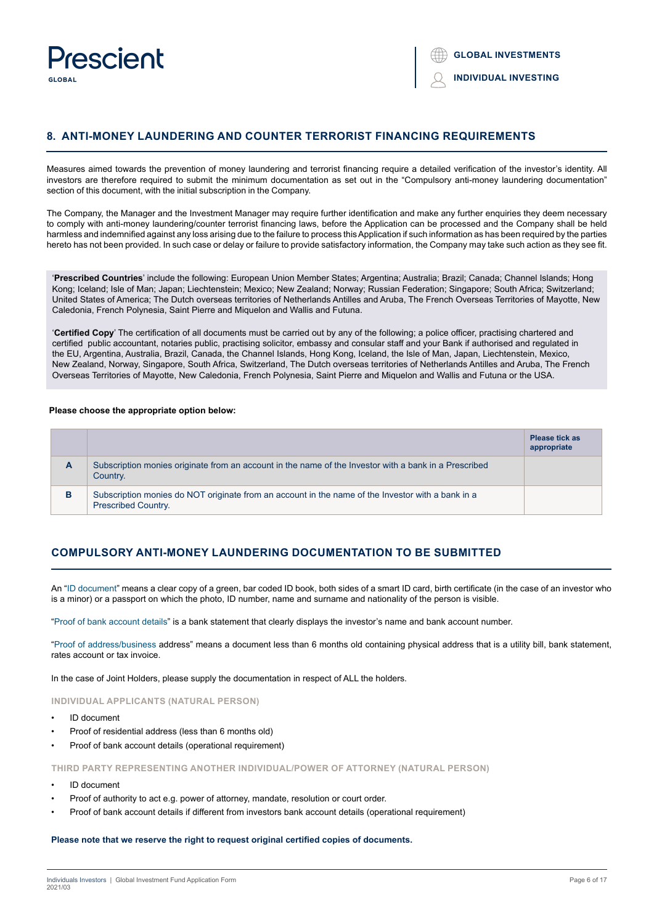

# **8. ANTI-MONEY LAUNDERING AND COUNTER TERRORIST FINANCING REQUIREMENTS**

Measures aimed towards the prevention of money laundering and terrorist financing require a detailed verification of the investor's identity. All investors are therefore required to submit the minimum documentation as set out in the "Compulsory anti-money laundering documentation" section of this document, with the initial subscription in the Company.

The Company, the Manager and the Investment Manager may require further identification and make any further enquiries they deem necessary to comply with anti-money laundering/counter terrorist financing laws, before the Application can be processed and the Company shall be held harmless and indemnified against any loss arising due to the failure to process this Application if such information as has been required by the parties hereto has not been provided. In such case or delay or failure to provide satisfactory information, the Company may take such action as they see fit.

'**Prescribed Countries**' include the following: European Union Member States; Argentina; Australia; Brazil; Canada; Channel Islands; Hong Kong; Iceland; Isle of Man; Japan; Liechtenstein; Mexico; New Zealand; Norway; Russian Federation; Singapore; South Africa; Switzerland; United States of America; The Dutch overseas territories of Netherlands Antilles and Aruba, The French Overseas Territories of Mayotte, New Caledonia, French Polynesia, Saint Pierre and Miquelon and Wallis and Futuna.

'**Certified Copy**' The certification of all documents must be carried out by any of the following; a police officer, practising chartered and certified public accountant, notaries public, practising solicitor, embassy and consular staff and your Bank if authorised and regulated in the EU, Argentina, Australia, Brazil, Canada, the Channel Islands, Hong Kong, Iceland, the Isle of Man, Japan, Liechtenstein, Mexico, New Zealand, Norway, Singapore, South Africa, Switzerland, The Dutch overseas territories of Netherlands Antilles and Aruba, The French Overseas Territories of Mayotte, New Caledonia, French Polynesia, Saint Pierre and Miquelon and Wallis and Futuna or the USA.

#### **Please choose the appropriate option below:**

|   |                                                                                                                                 | <b>Please tick as</b><br>appropriate |
|---|---------------------------------------------------------------------------------------------------------------------------------|--------------------------------------|
| A | Subscription monies originate from an account in the name of the Investor with a bank in a Prescribed<br>Country.               |                                      |
| в | Subscription monies do NOT originate from an account in the name of the Investor with a bank in a<br><b>Prescribed Country.</b> |                                      |

# **COMPULSORY ANTI-MONEY LAUNDERING DOCUMENTATION TO BE SUBMITTED**

An "ID document" means a clear copy of a green, bar coded ID book, both sides of a smart ID card, birth certificate (in the case of an investor who is a minor) or a passport on which the photo, ID number, name and surname and nationality of the person is visible.

"Proof of bank account details" is a bank statement that clearly displays the investor's name and bank account number.

"Proof of address/business address" means a document less than 6 months old containing physical address that is a utility bill, bank statement, rates account or tax invoice.

In the case of Joint Holders, please supply the documentation in respect of ALL the holders.

# **INDIVIDUAL APPLICANTS (NATURAL PERSON)**

- ID document
- Proof of residential address (less than 6 months old)
- Proof of bank account details (operational requirement)

**THIRD PARTY REPRESENTING ANOTHER INDIVIDUAL/POWER OF ATTORNEY (NATURAL PERSON)**

- ID document
- Proof of authority to act e.g. power of attorney, mandate, resolution or court order.
- Proof of bank account details if different from investors bank account details (operational requirement)

## **Please note that we reserve the right to request original certified copies of documents.**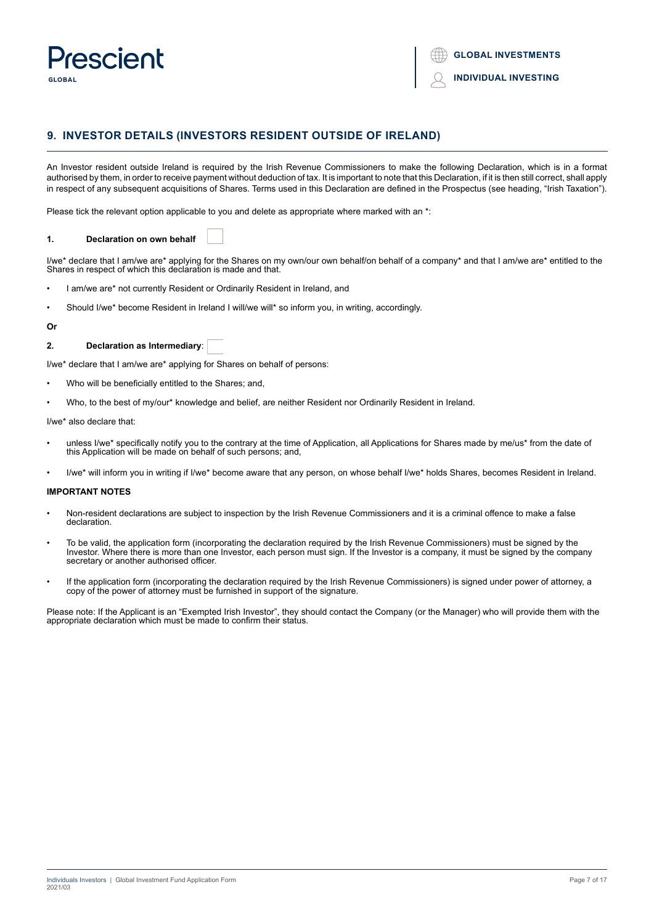

# **9. INVESTOR DETAILS (INVESTORS RESIDENT OUTSIDE OF IRELAND)**

An Investor resident outside Ireland is required by the Irish Revenue Commissioners to make the following Declaration, which is in a format authorised by them, in order to receive payment without deduction of tax. It is important to note that this Declaration, if it is then still correct, shall apply in respect of any subsequent acquisitions of Shares. Terms used in this Declaration are defined in the Prospectus (see heading, "Irish Taxation").

Please tick the relevant option applicable to you and delete as appropriate where marked with an \*:

# **1. Declaration on own behalf**

I/we\* declare that I am/we are\* applying for the Shares on my own/our own behalf/on behalf of a company\* and that I am/we are\* entitled to the Shares in respect of which this declaration is made and that.

- I am/we are\* not currently Resident or Ordinarily Resident in Ireland, and
- Should I/we\* become Resident in Ireland I will/we will\* so inform you, in writing, accordingly.

#### **Or**

# **2. Declaration as Intermediary**:

I/we\* declare that I am/we are\* applying for Shares on behalf of persons:

- Who will be beneficially entitled to the Shares; and,
- Who, to the best of my/our\* knowledge and belief, are neither Resident nor Ordinarily Resident in Ireland.

I/we\* also declare that:

- unless I/we<sup>\*</sup> specifically notify you to the contrary at the time of Application, all Applications for Shares made by me/us<sup>\*</sup> from the date of this Application will be made on behalf of such persons; and,
- I/we\* will inform you in writing if I/we\* become aware that any person, on whose behalf I/we\* holds Shares, becomes Resident in Ireland.

# **IMPORTANT NOTES**

- Non-resident declarations are subject to inspection by the Irish Revenue Commissioners and it is a criminal offence to make a false declaration.
- To be valid, the application form (incorporating the declaration required by the Irish Revenue Commissioners) must be signed by the Investor. Where there is more than one Investor, each person must sign. If the Investor is a company, it must be signed by the company secretary or another authorised officer.
- If the application form (incorporating the declaration required by the Irish Revenue Commissioners) is signed under power of attorney, a copy of the power of attorney must be furnished in support of the signature.

Please note: If the Applicant is an "Exempted Irish Investor", they should contact the Company (or the Manager) who will provide them with the appropriate declaration which must be made to confirm their status.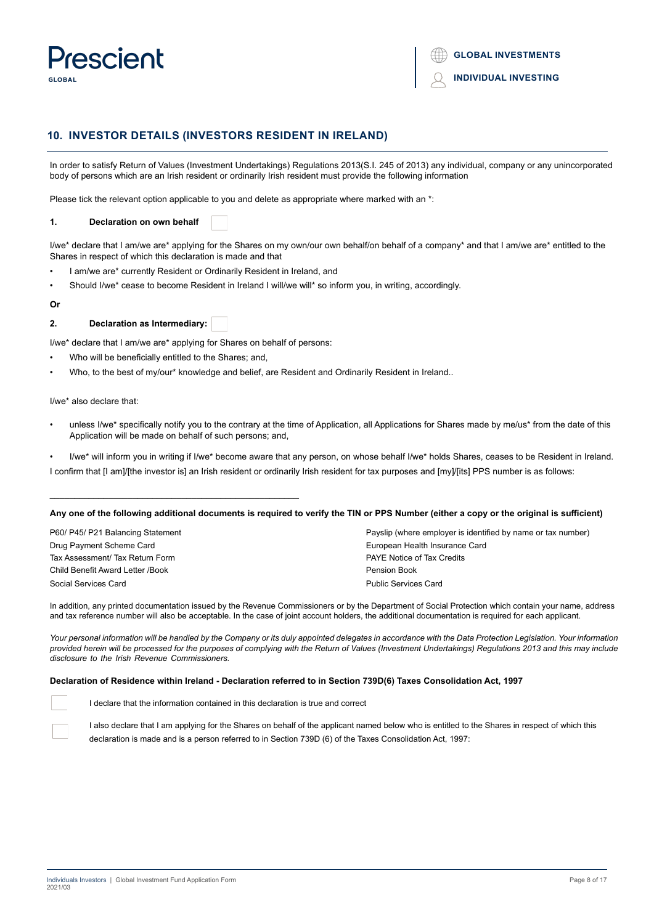

# **10. INVESTOR DETAILS (INVESTORS RESIDENT IN IRELAND)**

In order to satisfy Return of Values (Investment Undertakings) Regulations 2013(S.I. 245 of 2013) any individual, company or any unincorporated body of persons which are an Irish resident or ordinarily Irish resident must provide the following information

Please tick the relevant option applicable to you and delete as appropriate where marked with an \*:

# **1. Declaration on own behalf**

I/we\* declare that I am/we are\* applying for the Shares on my own/our own behalf/on behalf of a company\* and that I am/we are\* entitled to the Shares in respect of which this declaration is made and that

- I am/we are\* currently Resident or Ordinarily Resident in Ireland, and
- Should I/we\* cease to become Resident in Ireland I will/we will\* so inform you, in writing, accordingly.

# **Or**

**2. Declaration as Intermediary:**

I/we\* declare that I am/we are\* applying for Shares on behalf of persons:

Who will be beneficially entitled to the Shares; and,

\_\_\_\_\_\_\_\_\_\_\_\_\_\_\_\_\_\_\_\_\_\_\_\_\_\_\_\_\_\_\_\_\_\_\_\_\_\_\_\_\_\_\_\_\_\_\_\_\_\_\_

• Who, to the best of my/our\* knowledge and belief, are Resident and Ordinarily Resident in Ireland..

I/we\* also declare that:

- unless I/we\* specifically notify you to the contrary at the time of Application, all Applications for Shares made by me/us\* from the date of this Application will be made on behalf of such persons; and,
- I/we\* will inform you in writing if I/we\* become aware that any person, on whose behalf I/we\* holds Shares, ceases to be Resident in Ireland. I confirm that [I am]/[the investor is] an Irish resident or ordinarily Irish resident for tax purposes and [my]/[its] PPS number is as follows:

#### **Any one of the following additional documents is required to verify the TIN or PPS Number (either a copy or the original is sufficient)**

| P60/ P45/ P21 Balancing Statement | Payslip (where employer is identified by name or tax number) |
|-----------------------------------|--------------------------------------------------------------|
| Drug Payment Scheme Card          | European Health Insurance Card                               |
| Tax Assessment/ Tax Return Form   | <b>PAYE Notice of Tax Credits</b>                            |
| Child Benefit Award Letter /Book  | Pension Book                                                 |
| Social Services Card              | <b>Public Services Card</b>                                  |

In addition, any printed documentation issued by the Revenue Commissioners or by the Department of Social Protection which contain your name, address and tax reference number will also be acceptable. In the case of joint account holders, the additional documentation is required for each applicant.

Your personal information will be handled by the Company or its duly appointed delegates in accordance with the Data Protection Legislation. Your information *provided herein will be processed for the purposes of complying with the Return of Values (Investment Undertakings) Regulations 2013 and this may include disclosure to the Irish Revenue Commissioners. wwwwwwwwwwwwwwwwwwwwwwwwwwwwwwwwwwwwwwwwwwwwwwwwwwwwwwwwwwwwwww*

### **Declaration of Residence within Ireland - Declaration referred to in Section 739D(6) Taxes Consolidation Act, 1997**

I declare that the information contained in this declaration is true and correct

I also declare that I am applying for the Shares on behalf of the applicant named below who is entitled to the Shares in respect of which this declaration is made and is a person referred to in Section 739D (6) of the Taxes Consolidation Act, 1997: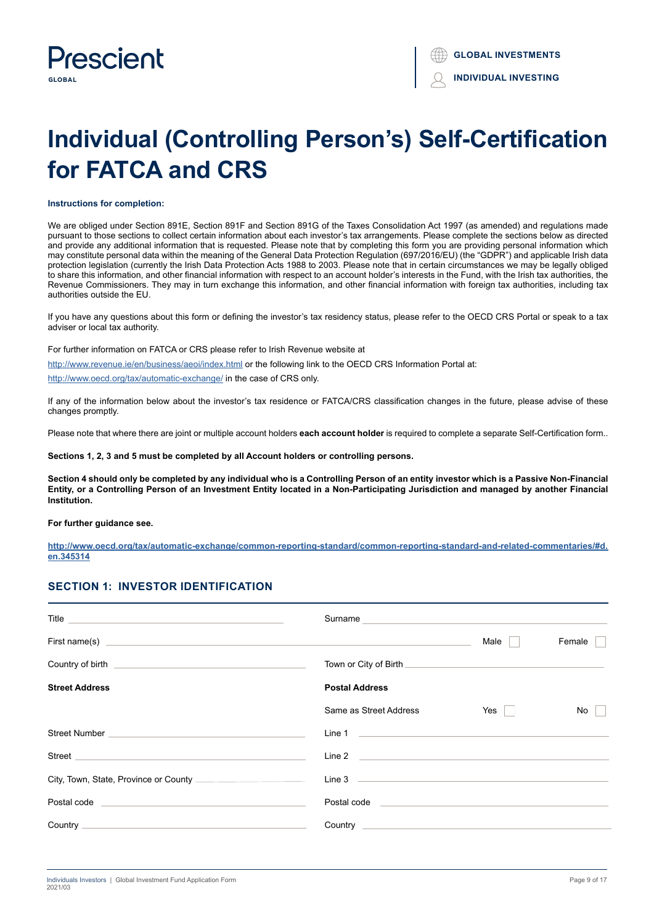

# **Individual (Controlling Person's) Self-Certification for FATCA and CRS**

#### **Instructions for completion:**

We are obliged under Section 891E, Section 891F and Section 891G of the Taxes Consolidation Act 1997 (as amended) and regulations made pursuant to those sections to collect certain information about each investor's tax arrangements. Please complete the sections below as directed and provide any additional information that is requested. Please note that by completing this form you are providing personal information which may constitute personal data within the meaning of the General Data Protection Regulation (697/2016/EU) (the "GDPR") and applicable Irish data protection legislation (currently the Irish Data Protection Acts 1988 to 2003. Please note that in certain circumstances we may be legally obliged to share this information, and other financial information with respect to an account holder's interests in the Fund, with the Irish tax authorities, the Revenue Commissioners. They may in turn exchange this information, and other financial information with foreign tax authorities, including tax authorities outside the EU.

If you have any questions about this form or defining the investor's tax residency status, please refer to the OECD CRS Portal or speak to a tax adviser or local tax authority.

For further information on FATCA or CRS please refer to Irish Revenue website at

http://www.revenue.ie/en/business/aeoi/index.html or the following link to the OECD CRS Information Portal at:

http://www.oecd.org/tax/automatic-exchange/ in the case of CRS only.

If any of the information below about the investor's tax residence or FATCA/CRS classification changes in the future, please advise of these changes promptly.

Please note that where there are joint or multiple account holders each account holder is required to complete a separate Self-Certification form..

**Sections 1, 2, 3 and 5 must be completed by all Account holders or controlling persons.**

**Section 4 should only be completed by any individual who is a Controlling Person of an entity investor which is a Passive Non-Financial Entity, or a Controlling Person of an Investment Entity located in a Non-Participating Jurisdiction and managed by another Financial Institution.**

**For further guidance see.**

**http://www.oecd.org/tax/automatic-exchange/common-reporting-standard/common-reporting-standard-and-related-commentaries/#d. en.345314**

# **SECTION 1: INVESTOR IDENTIFICATION**

| Title <u>superior and the second contract of the second contract of the second contract of the second contract of the second contract of the second contract of the second contract of the second contract of the second contrac</u> | Surname experience and the service of the service of the service of the service of the service of the service                                                                                                                        |      |        |
|--------------------------------------------------------------------------------------------------------------------------------------------------------------------------------------------------------------------------------------|--------------------------------------------------------------------------------------------------------------------------------------------------------------------------------------------------------------------------------------|------|--------|
| First name(s) experience and the contract of the contract of the contract of the contract of the contract of the contract of the contract of the contract of the contract of the contract of the contract of the contract of t       |                                                                                                                                                                                                                                      | Male | Female |
| Country of birth <b>Country of birth</b>                                                                                                                                                                                             |                                                                                                                                                                                                                                      |      |        |
| <b>Street Address</b>                                                                                                                                                                                                                | <b>Postal Address</b>                                                                                                                                                                                                                |      |        |
|                                                                                                                                                                                                                                      | Same as Street Address                                                                                                                                                                                                               | Yes  | No     |
|                                                                                                                                                                                                                                      | Line 1 and 1 and 1 and 1 and 1 and 1 and 1 and 1 and 1 and 1 and 1 and 1 and 1 and 1 and 1 and 1 and 1 and 1 and 1 and 1 and 1 and 1 and 1 and 1 and 1 and 1 and 1 and 1 and 1 and 1 and 1 and 1 and 1 and 1 and 1 and 1 and 1       |      |        |
| Street <b>Street Street Street Street <i>Street</i></b>                                                                                                                                                                              |                                                                                                                                                                                                                                      |      |        |
|                                                                                                                                                                                                                                      |                                                                                                                                                                                                                                      |      |        |
| Postal code <b>Exercía de Serviço de Serviço de Serviço de Serviço de Serviço de Serviço de Serviço de Serviço de</b>                                                                                                                | Postal code <u>and a series and a series of the series of the series of the series of the series of the series of the series of the series of the series of the series of the series of the series of the series of the series o</u> |      |        |
|                                                                                                                                                                                                                                      |                                                                                                                                                                                                                                      |      |        |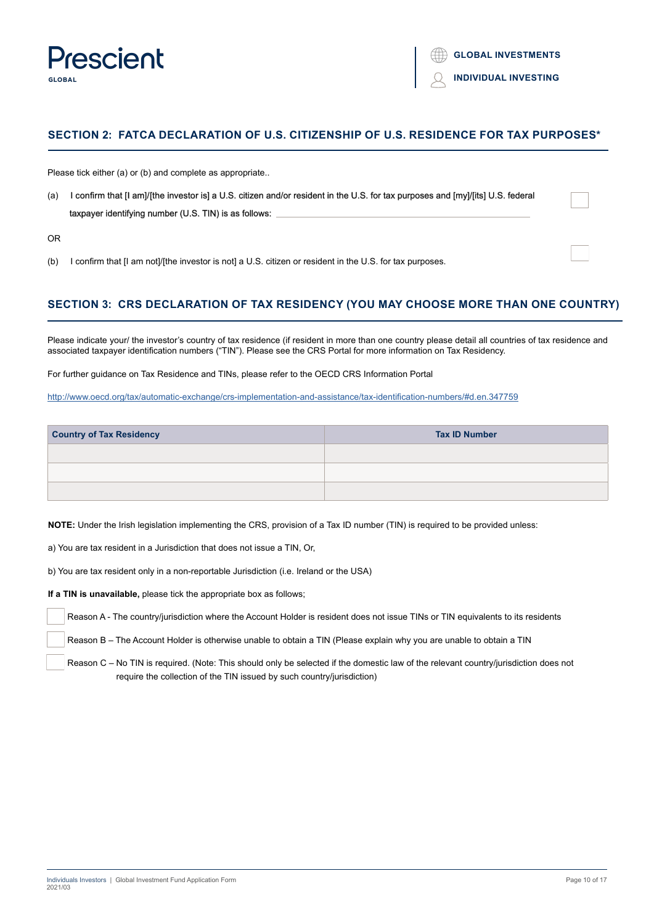

# **SECTION 2: FATCA DECLARATION OF U.S. CITIZENSHIP OF U.S. RESIDENCE FOR TAX PURPOSES\***

Please tick either (a) or (b) and complete as appropriate..

(a) I confirm that [I am]/[the investor is] a U.S. citizen and/or resident in the U.S. for tax purposes and [my]/[its] U.S. federal taxpayer identifying number (U.S. TIN) is as follows:

OR

(b) I confirm that [I am not]/[the investor is not] a U.S. citizen or resident in the U.S. for tax purposes.

# **SECTION 3: CRS DECLARATION OF TAX RESIDENCY (YOU MAY CHOOSE MORE THAN ONE COUNTRY)**

Please indicate your/ the investor's country of tax residence (if resident in more than one country please detail all countries of tax residence and associated taxpayer identification numbers ("TIN"). Please see the CRS Portal for more information on Tax Residency.

For further guidance on Tax Residence and TINs, please refer to the OECD CRS Information Portal

http://www.oecd.org/tax/automatic-exchange/crs-implementation-and-assistance/tax-identification-numbers/#d.en.347759

| <b>Country of Tax Residency</b> | <b>Tax ID Number</b> |
|---------------------------------|----------------------|
|                                 |                      |
|                                 |                      |
|                                 |                      |

**NOTE:** Under the Irish legislation implementing the CRS, provision of a Tax ID number (TIN) is required to be provided unless:

a) You are tax resident in a Jurisdiction that does not issue a TIN, Or,

b) You are tax resident only in a non-reportable Jurisdiction (i.e. Ireland or the USA)

**If a TIN is unavailable,** please tick the appropriate box as follows;

Reason A - The country/jurisdiction where the Account Holder is resident does not issue TINs or TIN equivalents to its residents

Reason B – The Account Holder is otherwise unable to obtain a TIN (Please explain why you are unable to obtain a TIN

 Reason C – No TIN is required. (Note: This should only be selected if the domestic law of the relevant country/jurisdiction does not require the collection of the TIN issued by such country/jurisdiction)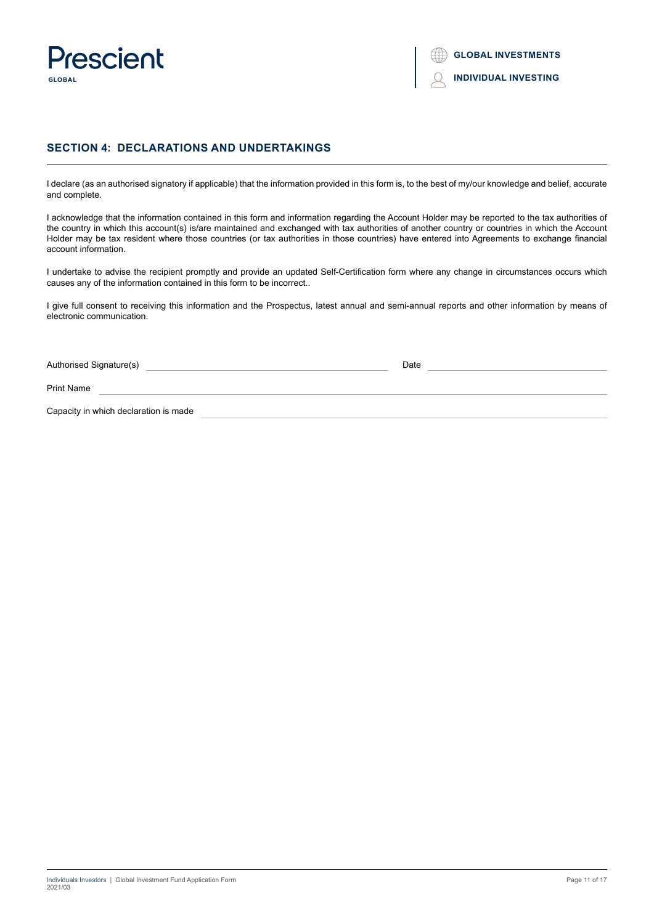

# **SECTION 4: DECLARATIONS AND UNDERTAKINGS**

I declare (as an authorised signatory if applicable) that the information provided in this form is, to the best of my/our knowledge and belief, accurate and complete.

I acknowledge that the information contained in this form and information regarding the Account Holder may be reported to the tax authorities of the country in which this account(s) is/are maintained and exchanged with tax authorities of another country or countries in which the Account Holder may be tax resident where those countries (or tax authorities in those countries) have entered into Agreements to exchange financial account information.

I undertake to advise the recipient promptly and provide an updated Self-Certification form where any change in circumstances occurs which causes any of the information contained in this form to be incorrect..

I give full consent to receiving this information and the Prospectus, latest annual and semi-annual reports and other information by means of electronic communication.

Authorised Signature(s) **Date Date Date Date Date Date Date Date Date Date** 

Print Name

Capacity in which declaration is made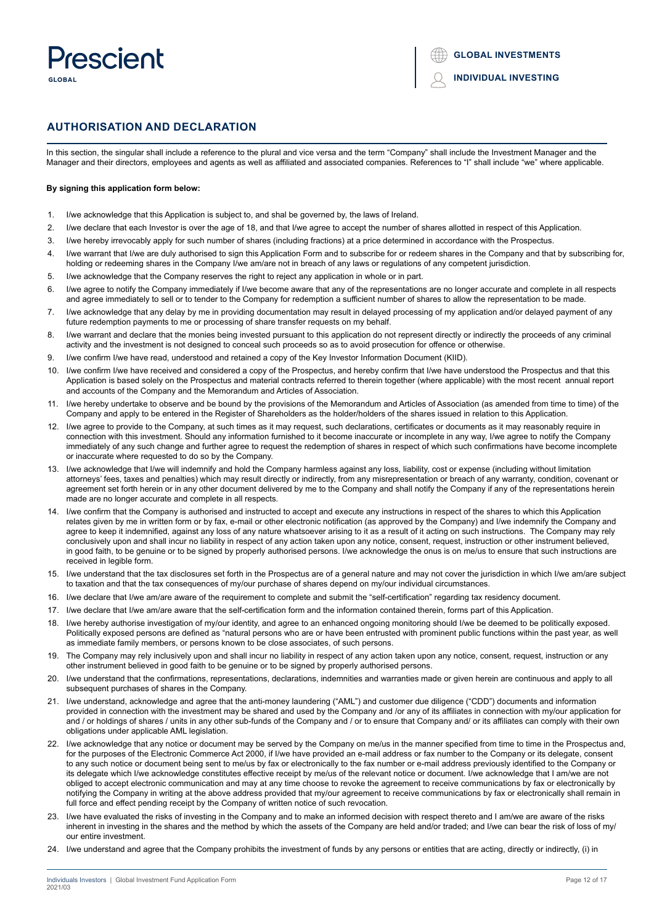# Prasciant **GLOBAL**

# **AUTHORISATION AND DECLARATION**

In this section, the singular shall include a reference to the plural and vice versa and the term "Company" shall include the Investment Manager and the Manager and their directors, employees and agents as well as affiliated and associated companies. References to "I" shall include "we" where applicable.

### **By signing this application form below:**

- 1. I/we acknowledge that this Application is subject to, and shal be governed by, the laws of Ireland.
- 2. I/we declare that each Investor is over the age of 18, and that I/we agree to accept the number of shares allotted in respect of this Application.
- 3. I/we hereby irrevocably apply for such number of shares (including fractions) at a price determined in accordance with the Prospectus.
- 4. I/we warrant that I/we are duly authorised to sign this Application Form and to subscribe for or redeem shares in the Company and that by subscribing for, holding or redeeming shares in the Company I/we am/are not in breach of any laws or regulations of any competent jurisdiction.
- 5. I/we acknowledge that the Company reserves the right to reject any application in whole or in part.
- 6. I/we agree to notify the Company immediately if I/we become aware that any of the representations are no longer accurate and complete in all respects and agree immediately to sell or to tender to the Company for redemption a sufficient number of shares to allow the representation to be made.
- 7. I/we acknowledge that any delay by me in providing documentation may result in delayed processing of my application and/or delayed payment of any future redemption payments to me or processing of share transfer requests on my behalf.
- 8. I/we warrant and declare that the monies being invested pursuant to this application do not represent directly or indirectly the proceeds of any criminal activity and the investment is not designed to conceal such proceeds so as to avoid prosecution for offence or otherwise.
- 9. I/we confirm I/we have read, understood and retained a copy of the Key Investor Information Document (KIID).
- 10. I/we confirm I/we have received and considered a copy of the Prospectus, and hereby confirm that I/we have understood the Prospectus and that this Application is based solely on the Prospectus and material contracts referred to therein together (where applicable) with the most recent annual report and accounts of the Company and the Memorandum and Articles of Association.
- 11. I/we hereby undertake to observe and be bound by the provisions of the Memorandum and Articles of Association (as amended from time to time) of the Company and apply to be entered in the Register of Shareholders as the holder/holders of the shares issued in relation to this Application.
- 12. I/we agree to provide to the Company, at such times as it may request, such declarations, certificates or documents as it may reasonably require in connection with this investment. Should any information furnished to it become inaccurate or incomplete in any way, I/we agree to notify the Company immediately of any such change and further agree to request the redemption of shares in respect of which such confirmations have become incomplete or inaccurate where requested to do so by the Company.
- 13. I/we acknowledge that I/we will indemnify and hold the Company harmless against any loss, liability, cost or expense (including without limitation attorneys' fees, taxes and penalties) which may result directly or indirectly, from any misrepresentation or breach of any warranty, condition, covenant or agreement set forth herein or in any other document delivered by me to the Company and shall notify the Company if any of the representations herein made are no longer accurate and complete in all respects.
- 14. I/we confirm that the Company is authorised and instructed to accept and execute any instructions in respect of the shares to which this Application relates given by me in written form or by fax, e-mail or other electronic notification (as approved by the Company) and I/we indemnify the Company and agree to keep it indemnified, against any loss of any nature whatsoever arising to it as a result of it acting on such instructions. The Company may rely conclusively upon and shall incur no liability in respect of any action taken upon any notice, consent, request, instruction or other instrument believed, in good faith, to be genuine or to be signed by properly authorised persons. I/we acknowledge the onus is on me/us to ensure that such instructions are received in legible form.
- 15. I/we understand that the tax disclosures set forth in the Prospectus are of a general nature and may not cover the jurisdiction in which I/we am/are subject to taxation and that the tax consequences of my/our purchase of shares depend on my/our individual circumstances.
- 16. I/we declare that I/we am/are aware of the requirement to complete and submit the "self-certification" regarding tax residency document.
- 17. I/we declare that I/we am/are aware that the self-certification form and the information contained therein, forms part of this Application.
- 18. I/we hereby authorise investigation of my/our identity, and agree to an enhanced ongoing monitoring should I/we be deemed to be politically exposed. Politically exposed persons are defined as "natural persons who are or have been entrusted with prominent public functions within the past year, as well as immediate family members, or persons known to be close associates, of such persons.
- 19. The Company may rely inclusively upon and shall incur no liability in respect of any action taken upon any notice, consent, request, instruction or any other instrument believed in good faith to be genuine or to be signed by properly authorised persons.
- 20. I/we understand that the confirmations, representations, declarations, indemnities and warranties made or given herein are continuous and apply to all subsequent purchases of shares in the Company.
- 21. I/we understand, acknowledge and agree that the anti-money laundering ("AML") and customer due diligence ("CDD") documents and information provided in connection with the investment may be shared and used by the Company and /or any of its affiliates in connection with my/our application for and / or holdings of shares / units in any other sub-funds of the Company and / or to ensure that Company and/ or its affiliates can comply with their own obligations under applicable AML legislation.
- 22. I/we acknowledge that any notice or document may be served by the Company on me/us in the manner specified from time to time in the Prospectus and, for the purposes of the Electronic Commerce Act 2000, if I/we have provided an e-mail address or fax number to the Company or its delegate, consent to any such notice or document being sent to me/us by fax or electronically to the fax number or e-mail address previously identified to the Company or its delegate which I/we acknowledge constitutes effective receipt by me/us of the relevant notice or document. I/we acknowledge that I am/we are not obliged to accept electronic communication and may at any time choose to revoke the agreement to receive communications by fax or electronically by notifying the Company in writing at the above address provided that my/our agreement to receive communications by fax or electronically shall remain in full force and effect pending receipt by the Company of written notice of such revocation.
- 23. I/we have evaluated the risks of investing in the Company and to make an informed decision with respect thereto and I am/we are aware of the risks inherent in investing in the shares and the method by which the assets of the Company are held and/or traded; and I/we can bear the risk of loss of my/ our entire investment.
- 24. I/we understand and agree that the Company prohibits the investment of funds by any persons or entities that are acting, directly or indirectly, (i) in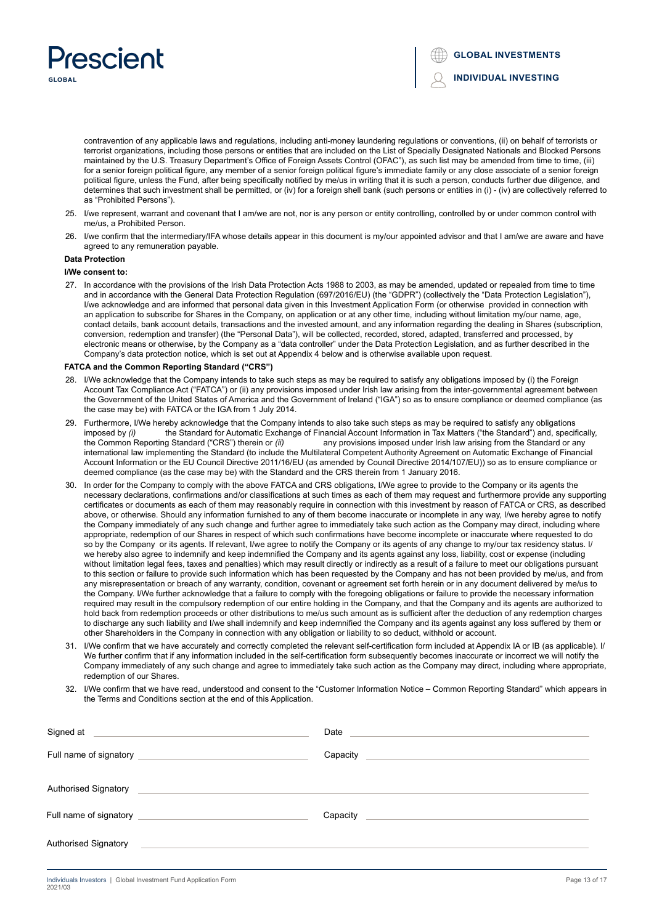

contravention of any applicable laws and regulations, including anti-money laundering regulations or conventions, (ii) on behalf of terrorists or terrorist organizations, including those persons or entities that are included on the List of Specially Designated Nationals and Blocked Persons maintained by the U.S. Treasury Department's Office of Foreign Assets Control (OFAC"), as such list may be amended from time to time, (iii) for a senior foreign political figure, any member of a senior foreign political figure's immediate family or any close associate of a senior foreign political figure, unless the Fund, after being specifically notified by me/us in writing that it is such a person, conducts further due diligence, and determines that such investment shall be permitted, or (iv) for a foreign shell bank (such persons or entities in (i) - (iv) are collectively referred to as "Prohibited Persons").

- 25. I/we represent, warrant and covenant that I am/we are not, nor is any person or entity controlling, controlled by or under common control with me/us, a Prohibited Person.
- 26. I/we confirm that the intermediary/IFA whose details appear in this document is my/our appointed advisor and that I am/we are aware and have agreed to any remuneration payable.

# **Data Protection**

#### **I/We consent to:**

27. In accordance with the provisions of the Irish Data Protection Acts 1988 to 2003, as may be amended, updated or repealed from time to time and in accordance with the General Data Protection Regulation (697/2016/EU) (the "GDPR") (collectively the "Data Protection Legislation"), I/we acknowledge and are informed that personal data given in this Investment Application Form (or otherwise provided in connection with an application to subscribe for Shares in the Company, on application or at any other time, including without limitation my/our name, age, contact details, bank account details, transactions and the invested amount, and any information regarding the dealing in Shares (subscription, conversion, redemption and transfer) (the "Personal Data"), will be collected, recorded, stored, adapted, transferred and processed, by electronic means or otherwise, by the Company as a "data controller" under the Data Protection Legislation, and as further described in the Company's data protection notice, which is set out at Appendix 4 below and is otherwise available upon request.

#### **FATCA and the Common Reporting Standard ("CRS")**

- 28. I/We acknowledge that the Company intends to take such steps as may be required to satisfy any obligations imposed by (i) the Foreign Account Tax Compliance Act ("FATCA") or (ii) any provisions imposed under Irish law arising from the inter-governmental agreement between the Government of the United States of America and the Government of Ireland ("IGA") so as to ensure compliance or deemed compliance (as the case may be) with FATCA or the IGA from 1 July 2014.
- 29. Furthermore, I/We hereby acknowledge that the Company intends to also take such steps as may be required to satisfy any obligations imposed by (i) the Standard for Automatic Exchange of Financial Account Information in imposed by (i) the Standard for Automatic Exchange of Financial Account Information in Tax Matters ("the Standard") and, specifically, the Common Reporting Standard ("CRS") therein or (ii) any provisions imposed under Iris any provisions imposed under Irish law arising from the Standard or any international law implementing the Standard (to include the Multilateral Competent Authority Agreement on Automatic Exchange of Financial Account Information or the EU Council Directive 2011/16/EU (as amended by Council Directive 2014/107/EU)) so as to ensure compliance or deemed compliance (as the case may be) with the Standard and the CRS therein from 1 January 2016.
- 30. In order for the Company to comply with the above FATCA and CRS obligations, I/We agree to provide to the Company or its agents the necessary declarations, confirmations and/or classifications at such times as each of them may request and furthermore provide any supporting certificates or documents as each of them may reasonably require in connection with this investment by reason of FATCA or CRS, as described above, or otherwise. Should any information furnished to any of them become inaccurate or incomplete in any way, I/we hereby agree to notify the Company immediately of any such change and further agree to immediately take such action as the Company may direct, including where appropriate, redemption of our Shares in respect of which such confirmations have become incomplete or inaccurate where requested to do so by the Company or its agents. If relevant, I/we agree to notify the Company or its agents of any change to my/our tax residency status. I/ we hereby also agree to indemnify and keep indemnified the Company and its agents against any loss, liability, cost or expense (including without limitation legal fees, taxes and penalties) which may result directly or indirectly as a result of a failure to meet our obligations pursuant to this section or failure to provide such information which has been requested by the Company and has not been provided by me/us, and from any misrepresentation or breach of any warranty, condition, covenant or agreement set forth herein or in any document delivered by me/us to the Company. I/We further acknowledge that a failure to comply with the foregoing obligations or failure to provide the necessary information required may result in the compulsory redemption of our entire holding in the Company, and that the Company and its agents are authorized to hold back from redemption proceeds or other distributions to me/us such amount as is sufficient after the deduction of any redemption charges to discharge any such liability and I/we shall indemnify and keep indemnified the Company and its agents against any loss suffered by them or other Shareholders in the Company in connection with any obligation or liability to so deduct, withhold or account.
- 31. I/We confirm that we have accurately and correctly completed the relevant self-certification form included at Appendix IA or IB (as applicable). I/ We further confirm that if any information included in the self-certification form subsequently becomes inaccurate or incorrect we will notify the Company immediately of any such change and agree to immediately take such action as the Company may direct, including where appropriate, redemption of our Shares.
- 32. I/We confirm that we have read, understood and consent to the "Customer Information Notice Common Reporting Standard" which appears in the Terms and Conditions section at the end of this Application.

| Signed at <u>example and the set of the set of the set of the set of the set of the set of the set of the set of the set of the set of the set of the set of the set of the set of the set of the set of the set of the set of t</u> | Date and the contract of the contract of the contract of the contract of the contract of the contract of the contract of the contract of the contract of the contract of the contract of the contract of the contract of the c |
|--------------------------------------------------------------------------------------------------------------------------------------------------------------------------------------------------------------------------------------|--------------------------------------------------------------------------------------------------------------------------------------------------------------------------------------------------------------------------------|
|                                                                                                                                                                                                                                      | Capacity Canada and Capacity Capacity Capacity                                                                                                                                                                                 |
| Authorised Signatory<br><u> 1989 - Andrea Stadt Britain, amerikansk politik (* 1958)</u>                                                                                                                                             |                                                                                                                                                                                                                                |
|                                                                                                                                                                                                                                      | Capacity                                                                                                                                                                                                                       |
| Authorised Signatory<br><u> 1980 - Jan James Barnett, fransk politiker (d. 1980)</u>                                                                                                                                                 |                                                                                                                                                                                                                                |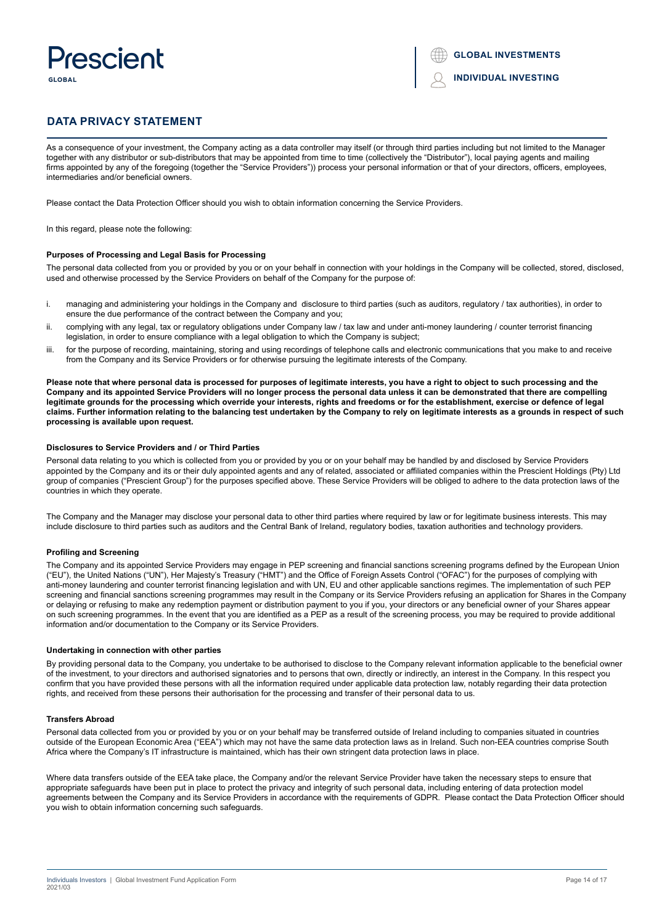# Prescient GLORAL



# **DATA PRIVACY STATEMENT**

As a consequence of your investment, the Company acting as a data controller may itself (or through third parties including but not limited to the Manager together with any distributor or sub-distributors that may be appointed from time to time (collectively the "Distributor"), local paying agents and mailing firms appointed by any of the foregoing (together the "Service Providers")) process your personal information or that of your directors, officers, employees, intermediaries and/or beneficial owners.

Please contact the Data Protection Officer should you wish to obtain information concerning the Service Providers.

In this regard, please note the following:

#### **Purposes of Processing and Legal Basis for Processing**

The personal data collected from you or provided by you or on your behalf in connection with your holdings in the Company will be collected, stored, disclosed, used and otherwise processed by the Service Providers on behalf of the Company for the purpose of:

- i. managing and administering your holdings in the Company and disclosure to third parties (such as auditors, regulatory / tax authorities), in order to ensure the due performance of the contract between the Company and you;
- ii. complying with any legal, tax or regulatory obligations under Company law / tax law and under anti-money laundering / counter terrorist financing legislation, in order to ensure compliance with a legal obligation to which the Company is subject;
- iii. for the purpose of recording, maintaining, storing and using recordings of telephone calls and electronic communications that you make to and receive from the Company and its Service Providers or for otherwise pursuing the legitimate interests of the Company.

**Please note that where personal data is processed for purposes of legitimate interests, you have a right to object to such processing and the Company and its appointed Service Providers will no longer process the personal data unless it can be demonstrated that there are compelling legitimate grounds for the processing which override your interests, rights and freedoms or for the establishment, exercise or defence of legal claims. Further information relating to the balancing test undertaken by the Company to rely on legitimate interests as a grounds in respect of such processing is available upon request.**

#### **Disclosures to Service Providers and / or Third Parties**

Personal data relating to you which is collected from you or provided by you or on your behalf may be handled by and disclosed by Service Providers appointed by the Company and its or their duly appointed agents and any of related, associated or affiliated companies within the Prescient Holdings (Pty) Ltd group of companies ("Prescient Group") for the purposes specified above. These Service Providers will be obliged to adhere to the data protection laws of the countries in which they operate.

The Company and the Manager may disclose your personal data to other third parties where required by law or for legitimate business interests. This may include disclosure to third parties such as auditors and the Central Bank of Ireland, regulatory bodies, taxation authorities and technology providers.

#### **Profiling and Screening**

The Company and its appointed Service Providers may engage in PEP screening and financial sanctions screening programs defined by the European Union ("EU"), the United Nations ("UN"), Her Majesty's Treasury ("HMT") and the Office of Foreign Assets Control ("OFAC") for the purposes of complying with anti-money laundering and counter terrorist financing legislation and with UN, EU and other applicable sanctions regimes. The implementation of such PEP screening and financial sanctions screening programmes may result in the Company or its Service Providers refusing an application for Shares in the Company or delaying or refusing to make any redemption payment or distribution payment to you if you, your directors or any beneficial owner of your Shares appear on such screening programmes. In the event that you are identified as a PEP as a result of the screening process, you may be required to provide additional information and/or documentation to the Company or its Service Providers.

#### **Undertaking in connection with other parties**

By providing personal data to the Company, you undertake to be authorised to disclose to the Company relevant information applicable to the beneficial owner of the investment, to your directors and authorised signatories and to persons that own, directly or indirectly, an interest in the Company. In this respect you confirm that you have provided these persons with all the information required under applicable data protection law, notably regarding their data protection rights, and received from these persons their authorisation for the processing and transfer of their personal data to us.

#### **Transfers Abroad**

Personal data collected from you or provided by you or on your behalf may be transferred outside of Ireland including to companies situated in countries outside of the European Economic Area ("EEA") which may not have the same data protection laws as in Ireland. Such non-EEA countries comprise South Africa where the Company's IT infrastructure is maintained, which has their own stringent data protection laws in place.

Where data transfers outside of the EEA take place, the Company and/or the relevant Service Provider have taken the necessary steps to ensure that appropriate safeguards have been put in place to protect the privacy and integrity of such personal data, including entering of data protection model agreements between the Company and its Service Providers in accordance with the requirements of GDPR. Please contact the Data Protection Officer should you wish to obtain information concerning such safeguards.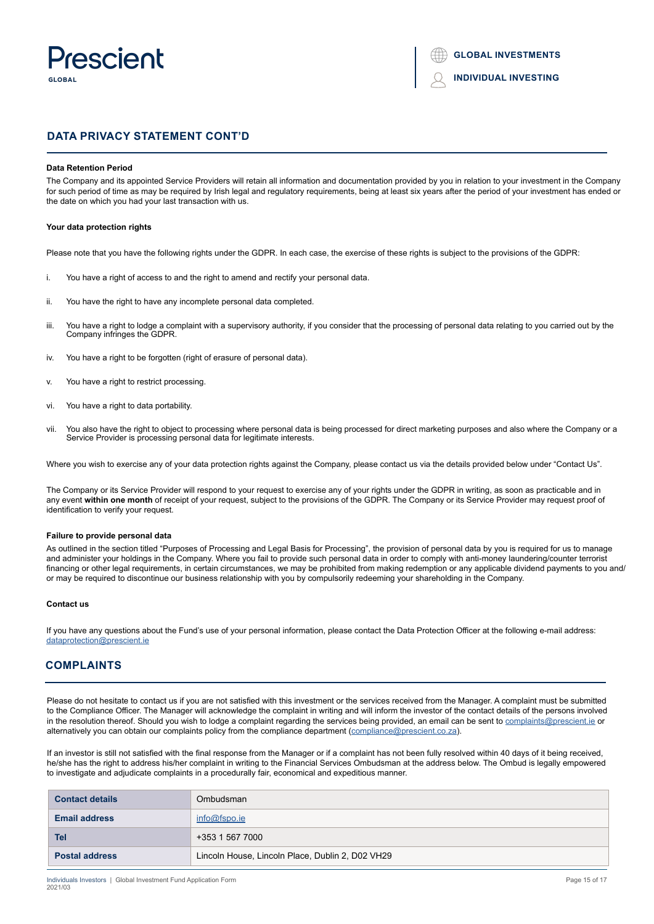

```
INDIVIDUAL INVESTING
```
# **DATA PRIVACY STATEMENT CONT'D**

# **Data Retention Period**

The Company and its appointed Service Providers will retain all information and documentation provided by you in relation to your investment in the Company for such period of time as may be required by Irish legal and regulatory requirements, being at least six years after the period of your investment has ended or the date on which you had your last transaction with us.

#### **Your data protection rights**

Please note that you have the following rights under the GDPR. In each case, the exercise of these rights is subject to the provisions of the GDPR:

- i. You have a right of access to and the right to amend and rectify your personal data.
- ii. You have the right to have any incomplete personal data completed.
- iii. You have a right to lodge a complaint with a supervisory authority, if you consider that the processing of personal data relating to you carried out by the Company infringes the GDPR.
- iv. You have a right to be forgotten (right of erasure of personal data).
- v. You have a right to restrict processing.
- vi. You have a right to data portability.
- vii. You also have the right to object to processing where personal data is being processed for direct marketing purposes and also where the Company or a Service Provider is processing personal data for legitimate interests.

Where you wish to exercise any of your data protection rights against the Company, please contact us via the details provided below under "Contact Us".

The Company or its Service Provider will respond to your request to exercise any of your rights under the GDPR in writing, as soon as practicable and in any event **within one month** of receipt of your request, subject to the provisions of the GDPR. The Company or its Service Provider may request proof of identification to verify your request.

### **Failure to provide personal data**

As outlined in the section titled "Purposes of Processing and Legal Basis for Processing", the provision of personal data by you is required for us to manage and administer your holdings in the Company. Where you fail to provide such personal data in order to comply with anti-money laundering/counter terrorist financing or other legal requirements, in certain circumstances, we may be prohibited from making redemption or any applicable dividend payments to you and/ or may be required to discontinue our business relationship with you by compulsorily redeeming your shareholding in the Company.

#### **Contact us**

If you have any questions about the Fund's use of your personal information, please contact the Data Protection Officer at the following e-mail address: dataprotection@prescient.ie

# **COMPLAINTS**

Please do not hesitate to contact us if you are not satisfied with this investment or the services received from the Manager. A complaint must be submitted to the Compliance Officer. The Manager will acknowledge the complaint in writing and will inform the investor of the contact details of the persons involved in the resolution thereof. Should you wish to lodge a complaint regarding the services being provided, an email can be sent to [complaints@prescient.](mailto:complaints%40prescient.ie?subject=)ie or alternatively you can obtain our complaints policy from the compliance department ([compliance@prescient.co.za\)](mailto:compliance%40prescient.co.za?subject=).

If an investor is still not satisfied with the final response from the Manager or if a complaint has not been fully resolved within 40 days of it being received, he/she has the right to address his/her complaint in writing to the Financial Services Ombudsman at the address below. The Ombud is legally empowered to investigate and adjudicate complaints in a procedurally fair, economical and expeditious manner.

| <b>Contact details</b> | Ombudsman                                        |
|------------------------|--------------------------------------------------|
| <b>Email address</b>   | info@fspo.e                                      |
| Tel                    | +353 1 567 7000                                  |
| <b>Postal address</b>  | Lincoln House, Lincoln Place, Dublin 2, D02 VH29 |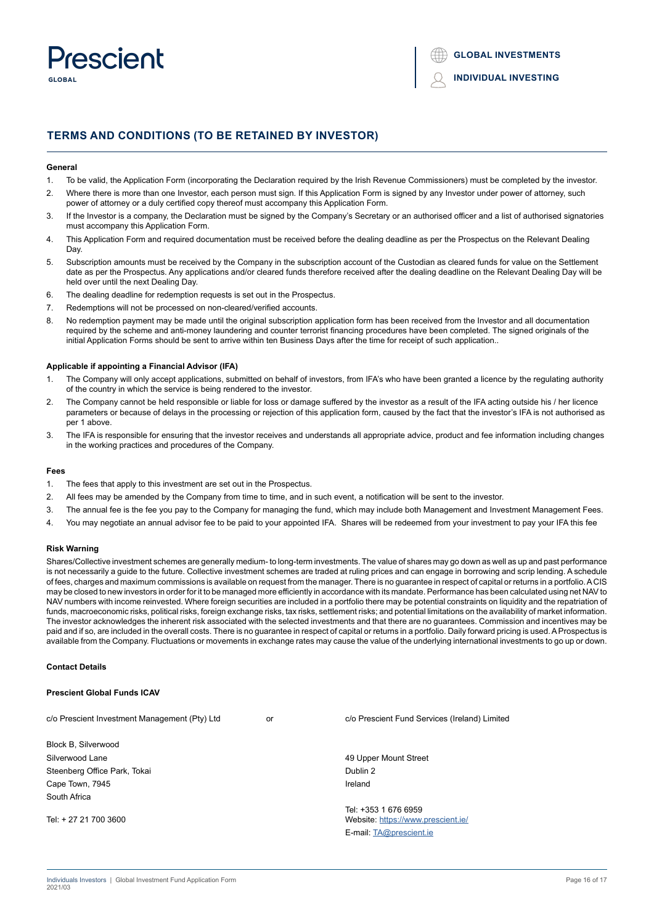

# **TERMS AND CONDITIONS (TO BE RETAINED BY INVESTOR)**

#### **General**

- 1. To be valid, the Application Form (incorporating the Declaration required by the Irish Revenue Commissioners) must be completed by the investor.
- 2. Where there is more than one Investor, each person must sign. If this Application Form is signed by any Investor under power of attorney, such power of attorney or a duly certified copy thereof must accompany this Application Form.
- 3. If the Investor is a company, the Declaration must be signed by the Company's Secretary or an authorised officer and a list of authorised signatories must accompany this Application Form.
- 4. This Application Form and required documentation must be received before the dealing deadline as per the Prospectus on the Relevant Dealing **Day**
- 5. Subscription amounts must be received by the Company in the subscription account of the Custodian as cleared funds for value on the Settlement date as per the Prospectus. Any applications and/or cleared funds therefore received after the dealing deadline on the Relevant Dealing Day will be held over until the next Dealing Day.
- 6. The dealing deadline for redemption requests is set out in the Prospectus.
- 7. Redemptions will not be processed on non-cleared/verified accounts.
- 8. No redemption payment may be made until the original subscription application form has been received from the Investor and all documentation required by the scheme and anti-money laundering and counter terrorist financing procedures have been completed. The signed originals of the initial Application Forms should be sent to arrive within ten Business Days after the time for receipt of such application..

#### **Applicable if appointing a Financial Advisor (IFA)**

- 1. The Company will only accept applications, submitted on behalf of investors, from IFA's who have been granted a licence by the regulating authority of the country in which the service is being rendered to the investor.
- 2. The Company cannot be held responsible or liable for loss or damage suffered by the investor as a result of the IFA acting outside his / her licence parameters or because of delays in the processing or rejection of this application form, caused by the fact that the investor's IFA is not authorised as per 1 above.
- 3. The IFA is responsible for ensuring that the investor receives and understands all appropriate advice, product and fee information including changes in the working practices and procedures of the Company.

#### **Fees**

- 1. The fees that apply to this investment are set out in the Prospectus.
- 2. All fees may be amended by the Company from time to time, and in such event, a notification will be sent to the investor.
- 3. The annual fee is the fee you pay to the Company for managing the fund, which may include both Management and Investment Management Fees.
- 4. You may negotiate an annual advisor fee to be paid to your appointed IFA. Shares will be redeemed from your investment to pay your IFA this fee

# **Risk Warning**

Shares/Collective investment schemes are generally medium- to long-term investments. The value of shares may go down as well as up and past performance is not necessarily a guide to the future. Collective investment schemes are traded at ruling prices and can engage in borrowing and scrip lending. A schedule of fees, charges and maximum commissions is available on request from the manager. There is no guarantee in respect of capital or returns in a portfolio. A CIS may be closed to new investors in order for it to be managed more efficiently in accordance with its mandate. Performance has been calculated using net NAV to NAV numbers with income reinvested. Where foreign securities are included in a portfolio there may be potential constraints on liquidity and the repatriation of funds, macroeconomic risks, political risks, foreign exchange risks, tax risks, settlement risks; and potential limitations on the availability of market information. The investor acknowledges the inherent risk associated with the selected investments and that there are no guarantees. Commission and incentives may be paid and if so, are included in the overall costs. There is no guarantee in respect of capital or returns in a portfolio. Daily forward pricing is used. A Prospectus is available from the Company. Fluctuations or movements in exchange rates may cause the value of the underlying international investments to go up or down.

# **Contact Details**

# **Prescient Global Funds ICAV**

c/o Prescient Investment Management (Pty) Ltd or c/o Prescient Fund Services (Ireland) Limited Block B, Silverwood Silverwood Lane **All and Street According to the Control of the Control of According to the Control of According to the Control of According to the According of According to the According of According to the According of A** Steenberg Office Park, Tokai Dublin 2 and Dublin 2 and Dublin 2 and Dublin 2 and Dublin 2 and Dublin 2 Cape Town, 7945 **Ireland** South Africa Tel: +353 1 676 6959 Tel: + 27 21 700 3600 Website: https://www.prescient.ie/ E-mail: TA@prescient.ie